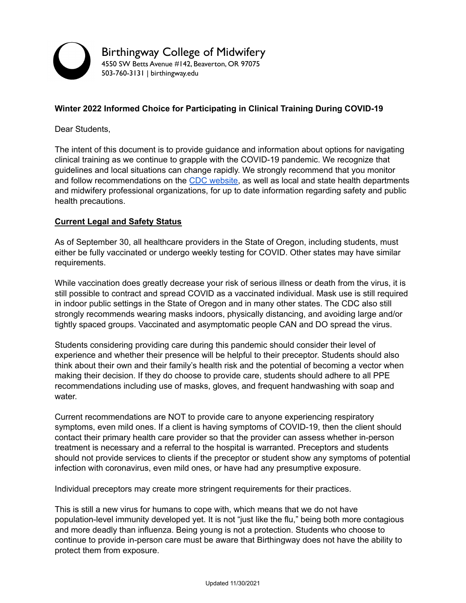

## **Winter 2022 Informed Choice for Participating in Clinical Training During COVID-19**

Dear Students,

The intent of this document is to provide guidance and information about options for navigating clinical training as we continue to grapple with the COVID-19 pandemic. We recognize that guidelines and local situations can change rapidly. We strongly recommend that you monitor and follow recommendations on the CDC [website,](https://www.cdc.gov/coronavirus/2019-nCoV/index.html) as well as local and state health departments and midwifery professional organizations, for up to date information regarding safety and public health precautions.

## **Current Legal and Safety Status**

As of September 30, all healthcare providers in the State of Oregon, including students, must either be fully vaccinated or undergo weekly testing for COVID. Other states may have similar requirements.

While vaccination does greatly decrease your risk of serious illness or death from the virus, it is still possible to contract and spread COVID as a vaccinated individual. Mask use is still required in indoor public settings in the State of Oregon and in many other states. The CDC also still strongly recommends wearing masks indoors, physically distancing, and avoiding large and/or tightly spaced groups. Vaccinated and asymptomatic people CAN and DO spread the virus.

Students considering providing care during this pandemic should consider their level of experience and whether their presence will be helpful to their preceptor. Students should also think about their own and their family's health risk and the potential of becoming a vector when making their decision. If they do choose to provide care, students should adhere to all PPE recommendations including use of masks, gloves, and frequent handwashing with soap and water.

Current recommendations are NOT to provide care to anyone experiencing respiratory symptoms, even mild ones. If a client is having symptoms of COVID-19, then the client should contact their primary health care provider so that the provider can assess whether in-person treatment is necessary and a referral to the hospital is warranted. Preceptors and students should not provide services to clients if the preceptor or student show any symptoms of potential infection with coronavirus, even mild ones, or have had any presumptive exposure.

Individual preceptors may create more stringent requirements for their practices.

This is still a new virus for humans to cope with, which means that we do not have population-level immunity developed yet. It is not "just like the flu," being both more contagious and more deadly than influenza. Being young is not a protection. Students who choose to continue to provide in-person care must be aware that Birthingway does not have the ability to protect them from exposure.